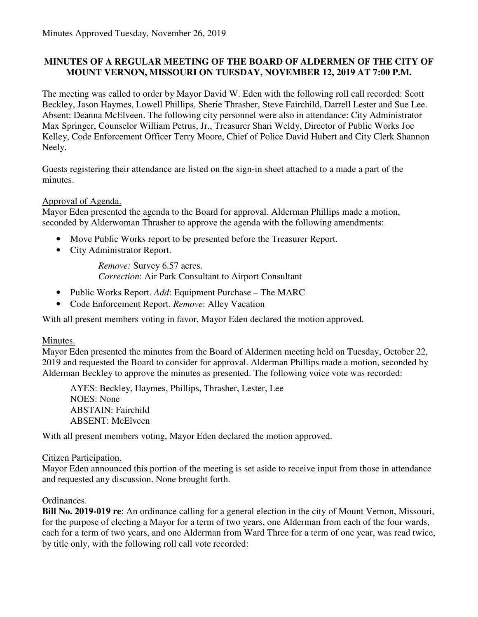### **MINUTES OF A REGULAR MEETING OF THE BOARD OF ALDERMEN OF THE CITY OF MOUNT VERNON, MISSOURI ON TUESDAY, NOVEMBER 12, 2019 AT 7:00 P.M.**

The meeting was called to order by Mayor David W. Eden with the following roll call recorded: Scott Beckley, Jason Haymes, Lowell Phillips, Sherie Thrasher, Steve Fairchild, Darrell Lester and Sue Lee. Absent: Deanna McElveen. The following city personnel were also in attendance: City Administrator Max Springer, Counselor William Petrus, Jr., Treasurer Shari Weldy, Director of Public Works Joe Kelley, Code Enforcement Officer Terry Moore, Chief of Police David Hubert and City Clerk Shannon Neely.

Guests registering their attendance are listed on the sign-in sheet attached to a made a part of the minutes.

#### Approval of Agenda.

Mayor Eden presented the agenda to the Board for approval. Alderman Phillips made a motion, seconded by Alderwoman Thrasher to approve the agenda with the following amendments:

- Move Public Works report to be presented before the Treasurer Report.
- City Administrator Report.

*Remove:* Survey 6.57 acres. *Correction*: Air Park Consultant to Airport Consultant

- Public Works Report. *Add*: Equipment Purchase The MARC
- Code Enforcement Report. *Remove*: Alley Vacation

With all present members voting in favor, Mayor Eden declared the motion approved.

#### Minutes.

Mayor Eden presented the minutes from the Board of Aldermen meeting held on Tuesday, October 22, 2019 and requested the Board to consider for approval. Alderman Phillips made a motion, seconded by Alderman Beckley to approve the minutes as presented. The following voice vote was recorded:

 AYES: Beckley, Haymes, Phillips, Thrasher, Lester, Lee NOES: None ABSTAIN: Fairchild ABSENT: McElveen

With all present members voting, Mayor Eden declared the motion approved.

#### Citizen Participation.

Mayor Eden announced this portion of the meeting is set aside to receive input from those in attendance and requested any discussion. None brought forth.

### Ordinances.

**Bill No. 2019-019 re**: An ordinance calling for a general election in the city of Mount Vernon, Missouri, for the purpose of electing a Mayor for a term of two years, one Alderman from each of the four wards, each for a term of two years, and one Alderman from Ward Three for a term of one year, was read twice, by title only, with the following roll call vote recorded: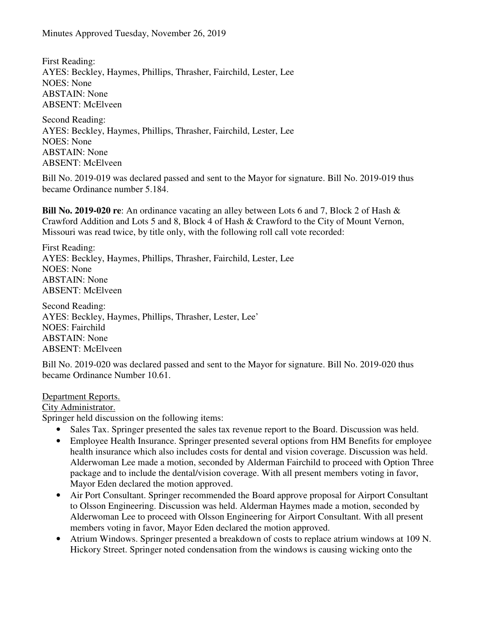First Reading: AYES: Beckley, Haymes, Phillips, Thrasher, Fairchild, Lester, Lee NOES: None ABSTAIN: None ABSENT: McElveen

Second Reading: AYES: Beckley, Haymes, Phillips, Thrasher, Fairchild, Lester, Lee NOES: None ABSTAIN: None ABSENT: McElveen

Bill No. 2019-019 was declared passed and sent to the Mayor for signature. Bill No. 2019-019 thus became Ordinance number 5.184.

**Bill No. 2019-020 re**: An ordinance vacating an alley between Lots 6 and 7, Block 2 of Hash & Crawford Addition and Lots 5 and 8, Block 4 of Hash & Crawford to the City of Mount Vernon, Missouri was read twice, by title only, with the following roll call vote recorded:

First Reading: AYES: Beckley, Haymes, Phillips, Thrasher, Fairchild, Lester, Lee NOES: None ABSTAIN: None ABSENT: McElveen

Second Reading: AYES: Beckley, Haymes, Phillips, Thrasher, Lester, Lee' NOES: Fairchild ABSTAIN: None ABSENT: McElveen

Bill No. 2019-020 was declared passed and sent to the Mayor for signature. Bill No. 2019-020 thus became Ordinance Number 10.61.

### Department Reports.

City Administrator.

Springer held discussion on the following items:

- Sales Tax. Springer presented the sales tax revenue report to the Board. Discussion was held.
- Employee Health Insurance. Springer presented several options from HM Benefits for employee health insurance which also includes costs for dental and vision coverage. Discussion was held. Alderwoman Lee made a motion, seconded by Alderman Fairchild to proceed with Option Three package and to include the dental/vision coverage. With all present members voting in favor, Mayor Eden declared the motion approved.
- Air Port Consultant. Springer recommended the Board approve proposal for Airport Consultant to Olsson Engineering. Discussion was held. Alderman Haymes made a motion, seconded by Alderwoman Lee to proceed with Olsson Engineering for Airport Consultant. With all present members voting in favor, Mayor Eden declared the motion approved.
- Atrium Windows. Springer presented a breakdown of costs to replace atrium windows at 109 N. Hickory Street. Springer noted condensation from the windows is causing wicking onto the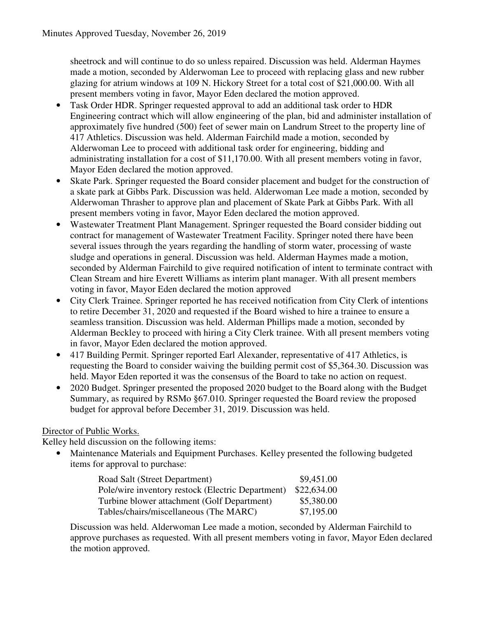sheetrock and will continue to do so unless repaired. Discussion was held. Alderman Haymes made a motion, seconded by Alderwoman Lee to proceed with replacing glass and new rubber glazing for atrium windows at 109 N. Hickory Street for a total cost of \$21,000.00. With all present members voting in favor, Mayor Eden declared the motion approved.

- Task Order HDR. Springer requested approval to add an additional task order to HDR Engineering contract which will allow engineering of the plan, bid and administer installation of approximately five hundred (500) feet of sewer main on Landrum Street to the property line of 417 Athletics. Discussion was held. Alderman Fairchild made a motion, seconded by Alderwoman Lee to proceed with additional task order for engineering, bidding and administrating installation for a cost of \$11,170.00. With all present members voting in favor, Mayor Eden declared the motion approved.
- Skate Park. Springer requested the Board consider placement and budget for the construction of a skate park at Gibbs Park. Discussion was held. Alderwoman Lee made a motion, seconded by Alderwoman Thrasher to approve plan and placement of Skate Park at Gibbs Park. With all present members voting in favor, Mayor Eden declared the motion approved.
- Wastewater Treatment Plant Management. Springer requested the Board consider bidding out contract for management of Wastewater Treatment Facility. Springer noted there have been several issues through the years regarding the handling of storm water, processing of waste sludge and operations in general. Discussion was held. Alderman Haymes made a motion, seconded by Alderman Fairchild to give required notification of intent to terminate contract with Clean Stream and hire Everett Williams as interim plant manager. With all present members voting in favor, Mayor Eden declared the motion approved
- City Clerk Trainee. Springer reported he has received notification from City Clerk of intentions to retire December 31, 2020 and requested if the Board wished to hire a trainee to ensure a seamless transition. Discussion was held. Alderman Phillips made a motion, seconded by Alderman Beckley to proceed with hiring a City Clerk trainee. With all present members voting in favor, Mayor Eden declared the motion approved.
- 417 Building Permit. Springer reported Earl Alexander, representative of 417 Athletics, is requesting the Board to consider waiving the building permit cost of \$5,364.30. Discussion was held. Mayor Eden reported it was the consensus of the Board to take no action on request.
- 2020 Budget. Springer presented the proposed 2020 budget to the Board along with the Budget Summary, as required by RSMo §67.010. Springer requested the Board review the proposed budget for approval before December 31, 2019. Discussion was held.

# Director of Public Works.

Kelley held discussion on the following items:

• Maintenance Materials and Equipment Purchases. Kelley presented the following budgeted items for approval to purchase:

| Road Salt (Street Department)                     | \$9,451.00  |
|---------------------------------------------------|-------------|
| Pole/wire inventory restock (Electric Department) | \$22,634.00 |
| Turbine blower attachment (Golf Department)       | \$5,380.00  |
| Tables/chairs/miscellaneous (The MARC)            | \$7,195.00  |

Discussion was held. Alderwoman Lee made a motion, seconded by Alderman Fairchild to approve purchases as requested. With all present members voting in favor, Mayor Eden declared the motion approved.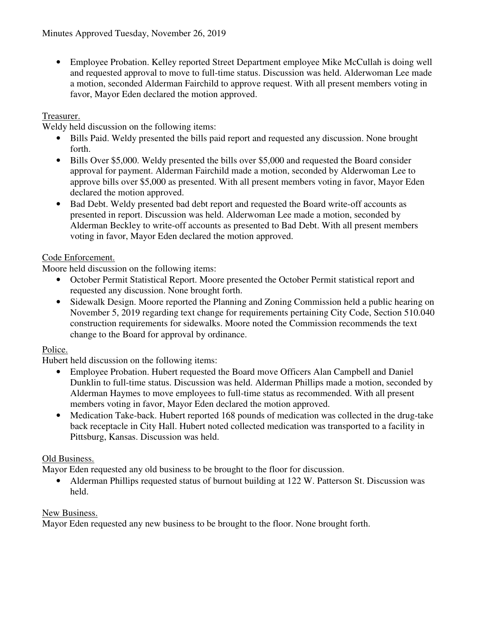• Employee Probation. Kelley reported Street Department employee Mike McCullah is doing well and requested approval to move to full-time status. Discussion was held. Alderwoman Lee made a motion, seconded Alderman Fairchild to approve request. With all present members voting in favor, Mayor Eden declared the motion approved.

### Treasurer.

Weldy held discussion on the following items:

- Bills Paid. Weldy presented the bills paid report and requested any discussion. None brought forth.
- Bills Over \$5,000. Weldy presented the bills over \$5,000 and requested the Board consider approval for payment. Alderman Fairchild made a motion, seconded by Alderwoman Lee to approve bills over \$5,000 as presented. With all present members voting in favor, Mayor Eden declared the motion approved.
- Bad Debt. Weldy presented bad debt report and requested the Board write-off accounts as presented in report. Discussion was held. Alderwoman Lee made a motion, seconded by Alderman Beckley to write-off accounts as presented to Bad Debt. With all present members voting in favor, Mayor Eden declared the motion approved.

# Code Enforcement.

Moore held discussion on the following items:

- October Permit Statistical Report. Moore presented the October Permit statistical report and requested any discussion. None brought forth.
- Sidewalk Design. Moore reported the Planning and Zoning Commission held a public hearing on November 5, 2019 regarding text change for requirements pertaining City Code, Section 510.040 construction requirements for sidewalks. Moore noted the Commission recommends the text change to the Board for approval by ordinance.

### Police.

Hubert held discussion on the following items:

- Employee Probation. Hubert requested the Board move Officers Alan Campbell and Daniel Dunklin to full-time status. Discussion was held. Alderman Phillips made a motion, seconded by Alderman Haymes to move employees to full-time status as recommended. With all present members voting in favor, Mayor Eden declared the motion approved.
- Medication Take-back. Hubert reported 168 pounds of medication was collected in the drug-take back receptacle in City Hall. Hubert noted collected medication was transported to a facility in Pittsburg, Kansas. Discussion was held.

# Old Business.

Mayor Eden requested any old business to be brought to the floor for discussion.

• Alderman Phillips requested status of burnout building at 122 W. Patterson St. Discussion was held.

### New Business.

Mayor Eden requested any new business to be brought to the floor. None brought forth.